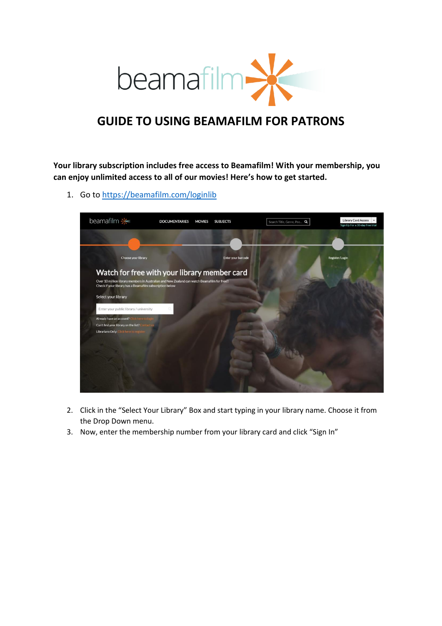

## **GUIDE TO USING BEAMAFILM FOR PATRONS**

**Your library subscription includes free access to Beamafilm! With your membership, you can enjoy unlimited access to all of our movies! Here's how to get started.**

1. Go t[o https://beamafilm.com/loginlib](https://beamafilm.com/loginlib)

| beamafilm *                                                                                                                                | <b>DOCUMENTARIES</b><br><b>MOVIES</b>                                                                                                        | <b>SUBJECTS</b>           | Search Title, Genre, Peo., Q | Library Card Access -<br>Sign Up For a 30-day free trial |
|--------------------------------------------------------------------------------------------------------------------------------------------|----------------------------------------------------------------------------------------------------------------------------------------------|---------------------------|------------------------------|----------------------------------------------------------|
|                                                                                                                                            |                                                                                                                                              |                           |                              |                                                          |
| Choose your library                                                                                                                        |                                                                                                                                              | <b>Enter your barcode</b> |                              | Register/Login                                           |
| Check if your library has a Beamafilm subscription below                                                                                   | Watch for free with your library member card<br>Over 10 million library members in Australian and New Zealand can watch Beamafilm for free!! |                           |                              |                                                          |
| Select your library                                                                                                                        |                                                                                                                                              |                           |                              |                                                          |
| Enter your public library / university                                                                                                     |                                                                                                                                              |                           |                              |                                                          |
| Already have an account? Click here to login<br>Can't find your library on the list? Contact us<br>Librarians Only: Click here to register |                                                                                                                                              |                           |                              |                                                          |
|                                                                                                                                            |                                                                                                                                              |                           |                              |                                                          |
|                                                                                                                                            |                                                                                                                                              |                           |                              |                                                          |

- 2. Click in the "Select Your Library" Box and start typing in your library name. Choose it from the Drop Down menu.
- 3. Now, enter the membership number from your library card and click "Sign In"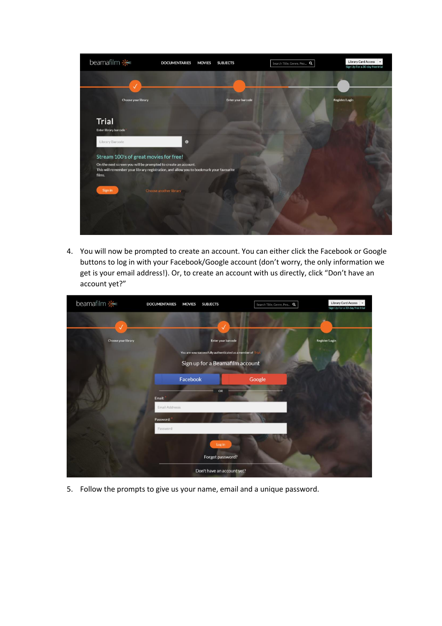

4. You will now be prompted to create an account. You can either click the Facebook or Google buttons to log in with your Facebook/Google account (don't worry, the only information we get is your email address!). Or, to create an account with us directly, click "Don't have an account yet?"

| beamafilm *         | <b>DOCUMENTARIES</b><br><b>MOVIES</b> | <b>SUBJECTS</b>                                              | Search Title, Genre, Peo Q | Library Card Access<br>$\bullet$<br>Sign Up For a 30-day free trial |
|---------------------|---------------------------------------|--------------------------------------------------------------|----------------------------|---------------------------------------------------------------------|
|                     |                                       |                                                              |                            |                                                                     |
|                     |                                       | J                                                            |                            |                                                                     |
| Choose your library |                                       | <b>Enter your barcode</b>                                    |                            | Register/Login                                                      |
|                     |                                       | You are now successfully authenticated as a member of Trial. |                            |                                                                     |
|                     |                                       | Sign up for a Beamafilm account                              |                            |                                                                     |
|                     |                                       |                                                              |                            |                                                                     |
|                     | Facebook                              |                                                              | Google                     |                                                                     |
|                     |                                       | OR                                                           |                            |                                                                     |
|                     | Email:                                |                                                              |                            |                                                                     |
|                     | Email Addresss                        |                                                              |                            |                                                                     |
|                     | Password:                             |                                                              |                            |                                                                     |
|                     | Password                              |                                                              |                            |                                                                     |
|                     |                                       | Log in                                                       |                            |                                                                     |
|                     |                                       | Forgot password?                                             |                            |                                                                     |
|                     |                                       | Don't have an account yet?                                   |                            |                                                                     |

5. Follow the prompts to give us your name, email and a unique password.